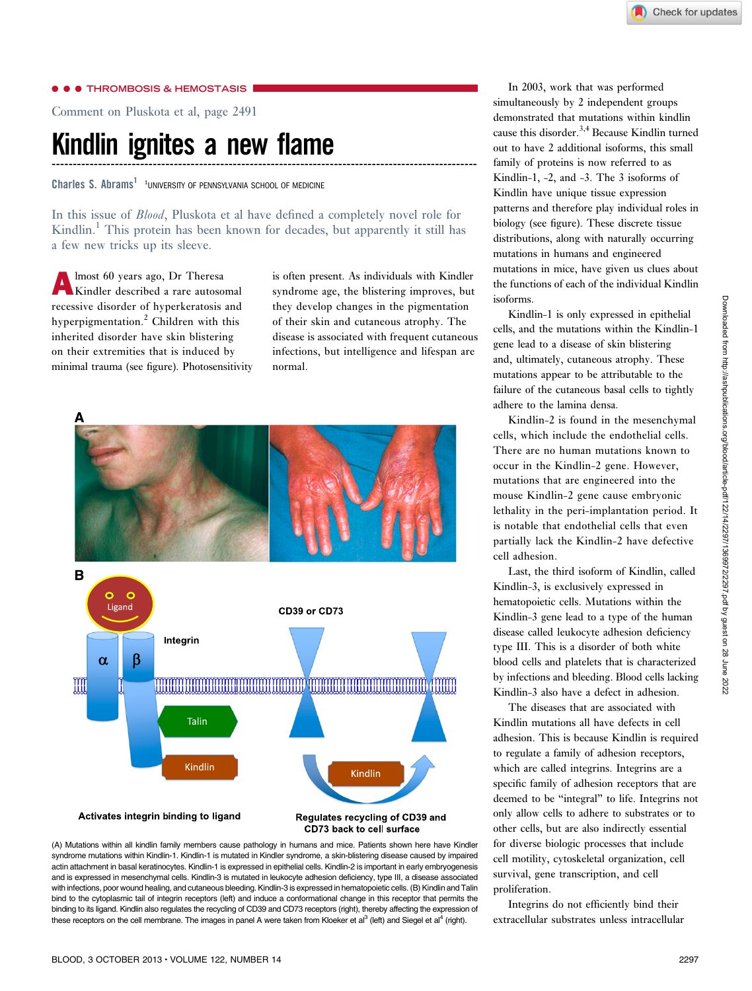### **C** THROMBOSIS & HEMOSTASIS

Comment on Pluskota et al, page 2491

## Kindlin ignites a new flame -----------------------------------------------------------------------------------------------------

Charles S. Abrams<sup>1</sup><sup>1</sup>UNIVERSITY OF PENNSYLVANIA SCHOOL OF MEDICINE

In this issue of Blood, Pluskota et al have defined a completely novel role for Kindlin.<sup>1</sup> This protein has been known for decades, but apparently it still has a few new tricks up its sleeve.

lmost 60 years ago, Dr Theresa Kindler described a rare autosomal recessive disorder of hyperkeratosis and hyperpigmentation.<sup>2</sup> Children with this inherited disorder have skin blistering on their extremities that is induced by minimal trauma (see figure). Photosensitivity is often present. As individuals with Kindler syndrome age, the blistering improves, but they develop changes in the pigmentation of their skin and cutaneous atrophy. The disease is associated with frequent cutaneous infections, but intelligence and lifespan are normal.





In 2003, work that was performed simultaneously by 2 independent groups demonstrated that mutations within kindlin cause this disorder.<sup>3,4</sup> Because Kindlin turned out to have 2 additional isoforms, this small family of proteins is now referred to as Kindlin-1, -2, and -3. The 3 isoforms of Kindlin have unique tissue expression patterns and therefore play individual roles in biology (see figure). These discrete tissue distributions, along with naturally occurring mutations in humans and engineered mutations in mice, have given us clues about the functions of each of the individual Kindlin isoforms.

Kindlin-1 is only expressed in epithelial cells, and the mutations within the Kindlin-1 gene lead to a disease of skin blistering and, ultimately, cutaneous atrophy. These mutations appear to be attributable to the failure of the cutaneous basal cells to tightly adhere to the lamina densa.

Kindlin-2 is found in the mesenchymal cells, which include the endothelial cells. There are no human mutations known to occur in the Kindlin-2 gene. However, mutations that are engineered into the mouse Kindlin-2 gene cause embryonic lethality in the peri-implantation period. It is notable that endothelial cells that even partially lack the Kindlin-2 have defective cell adhesion.

Last, the third isoform of Kindlin, called Kindlin-3, is exclusively expressed in hematopoietic cells. Mutations within the Kindlin-3 gene lead to a type of the human disease called leukocyte adhesion deficiency type III. This is a disorder of both white blood cells and platelets that is characterized by infections and bleeding. Blood cells lacking Kindlin-3 also have a defect in adhesion.

The diseases that are associated with Kindlin mutations all have defects in cell adhesion. This is because Kindlin is required to regulate a family of adhesion receptors, which are called integrins. Integrins are a specific family of adhesion receptors that are deemed to be "integral" to life. Integrins not only allow cells to adhere to substrates or to other cells, but are also indirectly essential for diverse biologic processes that include cell motility, cytoskeletal organization, cell survival, gene transcription, and cell proliferation.

Integrins do not efficiently bind their extracellular substrates unless intracellular